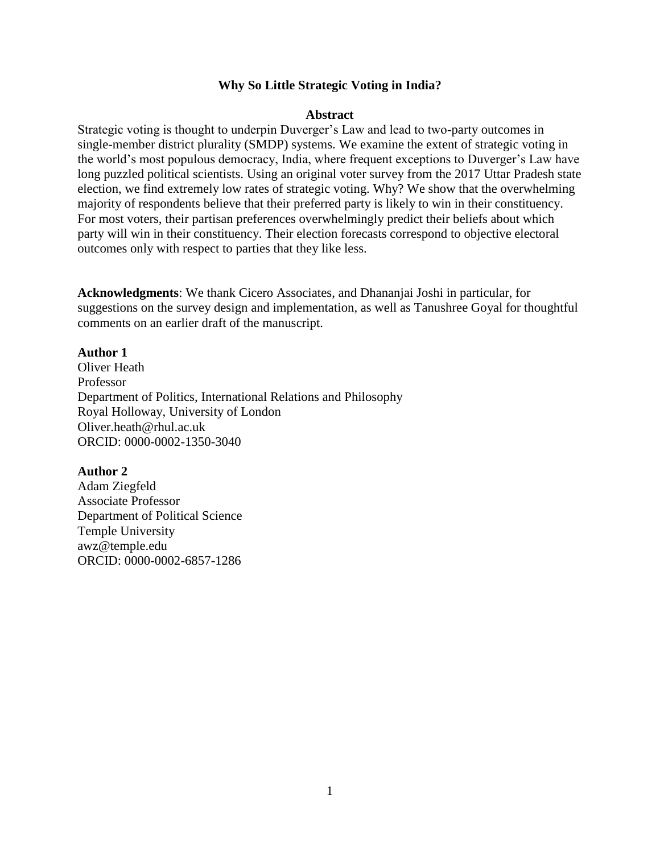# **Why So Little Strategic Voting in India?**

#### **Abstract**

Strategic voting is thought to underpin Duverger's Law and lead to two-party outcomes in single-member district plurality (SMDP) systems. We examine the extent of strategic voting in the world's most populous democracy, India, where frequent exceptions to Duverger's Law have long puzzled political scientists. Using an original voter survey from the 2017 Uttar Pradesh state election, we find extremely low rates of strategic voting. Why? We show that the overwhelming majority of respondents believe that their preferred party is likely to win in their constituency. For most voters, their partisan preferences overwhelmingly predict their beliefs about which party will win in their constituency. Their election forecasts correspond to objective electoral outcomes only with respect to parties that they like less.

**Acknowledgments**: We thank Cicero Associates, and Dhananjai Joshi in particular, for suggestions on the survey design and implementation, as well as Tanushree Goyal for thoughtful comments on an earlier draft of the manuscript.

# **Author 1**

Oliver Heath Professor Department of Politics, International Relations and Philosophy Royal Holloway, University of London Oliver.heath@rhul.ac.uk ORCID: 0000-0002-1350-3040

# **Author 2**

Adam Ziegfeld Associate Professor Department of Political Science Temple University awz@temple.edu ORCID: 0000-0002-6857-1286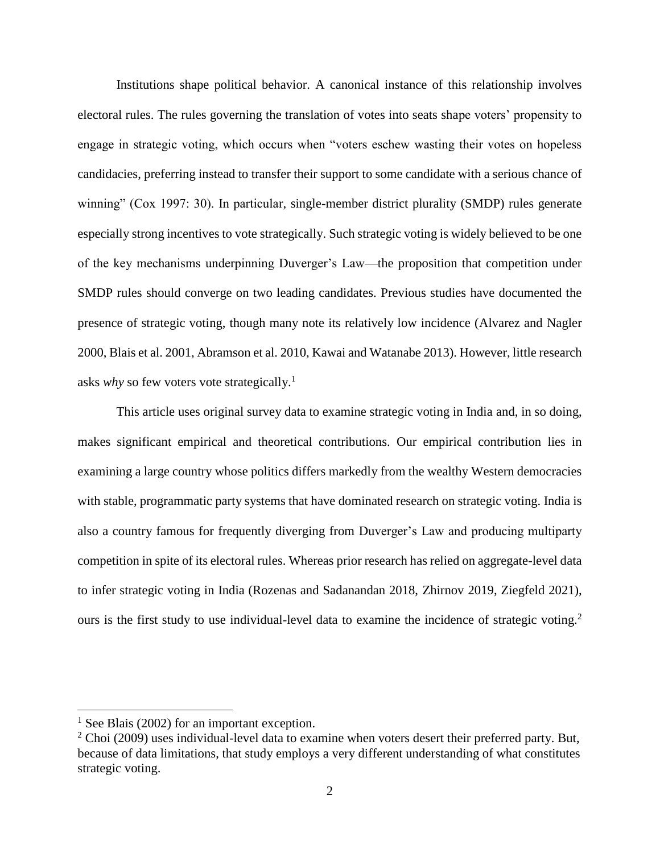Institutions shape political behavior. A canonical instance of this relationship involves electoral rules. The rules governing the translation of votes into seats shape voters' propensity to engage in strategic voting, which occurs when "voters eschew wasting their votes on hopeless candidacies, preferring instead to transfer their support to some candidate with a serious chance of winning" (Cox 1997: 30). In particular, single-member district plurality (SMDP) rules generate especially strong incentives to vote strategically. Such strategic voting is widely believed to be one of the key mechanisms underpinning Duverger's Law—the proposition that competition under SMDP rules should converge on two leading candidates. Previous studies have documented the presence of strategic voting, though many note its relatively low incidence (Alvarez and Nagler 2000, Blais et al. 2001, Abramson et al. 2010, Kawai and Watanabe 2013). However, little research asks *why* so few voters vote strategically.<sup>1</sup>

This article uses original survey data to examine strategic voting in India and, in so doing, makes significant empirical and theoretical contributions. Our empirical contribution lies in examining a large country whose politics differs markedly from the wealthy Western democracies with stable, programmatic party systems that have dominated research on strategic voting. India is also a country famous for frequently diverging from Duverger's Law and producing multiparty competition in spite of its electoral rules. Whereas prior research has relied on aggregate-level data to infer strategic voting in India (Rozenas and Sadanandan 2018, Zhirnov 2019, Ziegfeld 2021), ours is the first study to use individual-level data to examine the incidence of strategic voting.<sup>2</sup>

<sup>&</sup>lt;sup>1</sup> See Blais (2002) for an important exception.

 $2^2$  Choi (2009) uses individual-level data to examine when voters desert their preferred party. But, because of data limitations, that study employs a very different understanding of what constitutes strategic voting.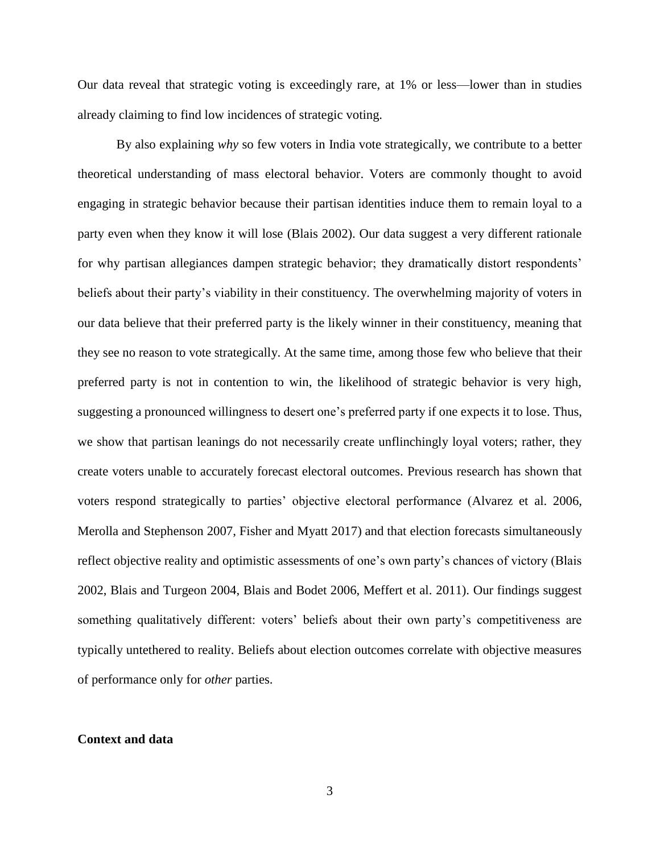Our data reveal that strategic voting is exceedingly rare, at 1% or less—lower than in studies already claiming to find low incidences of strategic voting.

By also explaining *why* so few voters in India vote strategically, we contribute to a better theoretical understanding of mass electoral behavior. Voters are commonly thought to avoid engaging in strategic behavior because their partisan identities induce them to remain loyal to a party even when they know it will lose (Blais 2002). Our data suggest a very different rationale for why partisan allegiances dampen strategic behavior; they dramatically distort respondents' beliefs about their party's viability in their constituency. The overwhelming majority of voters in our data believe that their preferred party is the likely winner in their constituency, meaning that they see no reason to vote strategically. At the same time, among those few who believe that their preferred party is not in contention to win, the likelihood of strategic behavior is very high, suggesting a pronounced willingness to desert one's preferred party if one expects it to lose. Thus, we show that partisan leanings do not necessarily create unflinchingly loyal voters; rather, they create voters unable to accurately forecast electoral outcomes. Previous research has shown that voters respond strategically to parties' objective electoral performance (Alvarez et al. 2006, Merolla and Stephenson 2007, Fisher and Myatt 2017) and that election forecasts simultaneously reflect objective reality and optimistic assessments of one's own party's chances of victory (Blais 2002, Blais and Turgeon 2004, Blais and Bodet 2006, Meffert et al. 2011). Our findings suggest something qualitatively different: voters' beliefs about their own party's competitiveness are typically untethered to reality. Beliefs about election outcomes correlate with objective measures of performance only for *other* parties.

#### **Context and data**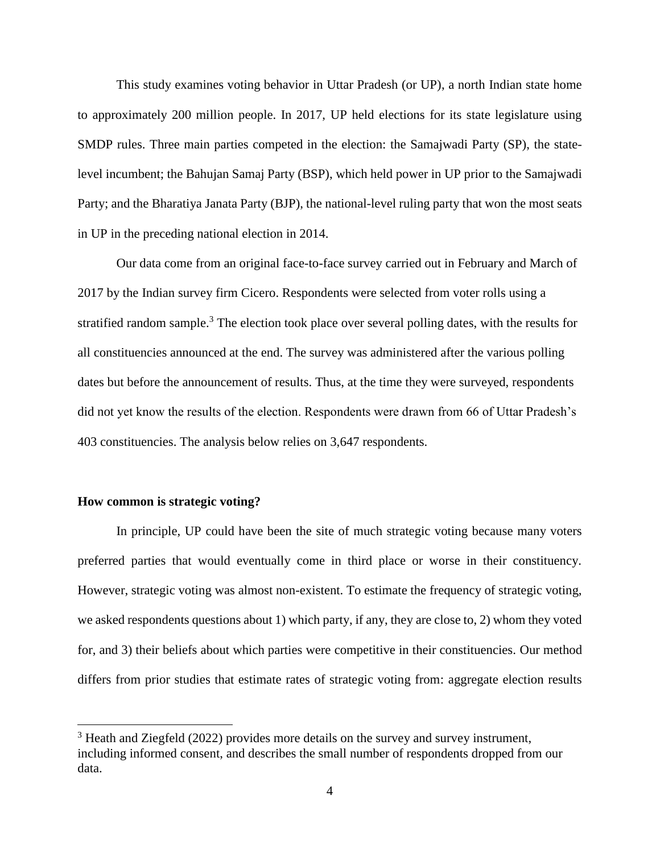This study examines voting behavior in Uttar Pradesh (or UP), a north Indian state home to approximately 200 million people. In 2017, UP held elections for its state legislature using SMDP rules. Three main parties competed in the election: the Samajwadi Party (SP), the statelevel incumbent; the Bahujan Samaj Party (BSP), which held power in UP prior to the Samajwadi Party; and the Bharatiya Janata Party (BJP), the national-level ruling party that won the most seats in UP in the preceding national election in 2014.

Our data come from an original face-to-face survey carried out in February and March of 2017 by the Indian survey firm Cicero. Respondents were selected from voter rolls using a stratified random sample.<sup>3</sup> The election took place over several polling dates, with the results for all constituencies announced at the end. The survey was administered after the various polling dates but before the announcement of results. Thus, at the time they were surveyed, respondents did not yet know the results of the election. Respondents were drawn from 66 of Uttar Pradesh's 403 constituencies. The analysis below relies on 3,647 respondents.

# **How common is strategic voting?**

 $\overline{a}$ 

In principle, UP could have been the site of much strategic voting because many voters preferred parties that would eventually come in third place or worse in their constituency. However, strategic voting was almost non-existent. To estimate the frequency of strategic voting, we asked respondents questions about 1) which party, if any, they are close to, 2) whom they voted for, and 3) their beliefs about which parties were competitive in their constituencies. Our method differs from prior studies that estimate rates of strategic voting from: aggregate election results

<sup>&</sup>lt;sup>3</sup> Heath and Ziegfeld (2022) provides more details on the survey and survey instrument, including informed consent, and describes the small number of respondents dropped from our data.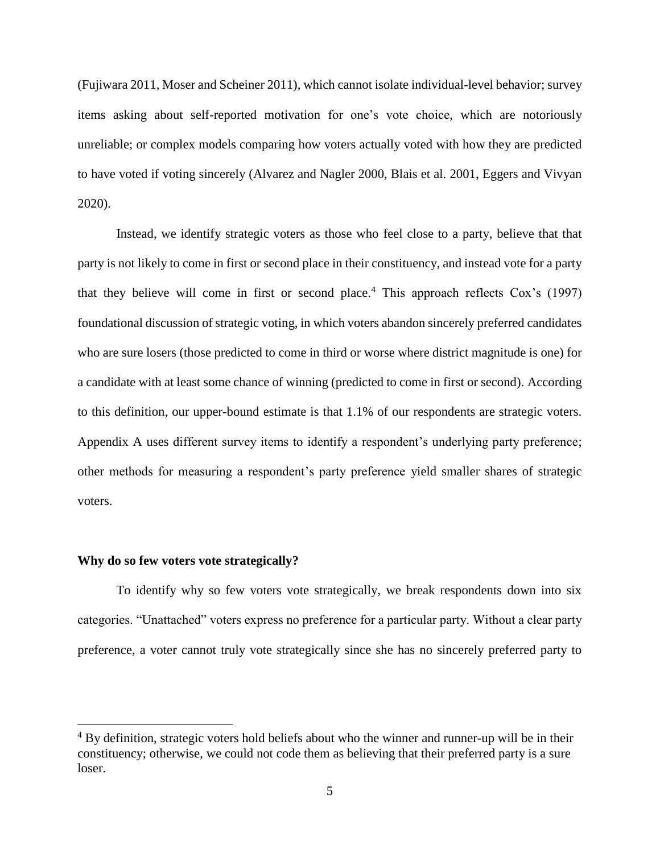(Fujiwara 2011, Moser and Scheiner 2011), which cannot isolate individual-level behavior; survey items asking about self-reported motivation for one's vote choice, which are notoriously unreliable; or complex models comparing how voters actually voted with how they are predicted to have voted if voting sincerely (Alvarez and Nagler 2000, Blais et al. 2001, Eggers and Vivyan 2020).

Instead, we identify strategic voters as those who feel close to a party, believe that that party is not likely to come in first or second place in their constituency, and instead vote for a party that they believe will come in first or second place.<sup>4</sup> This approach reflects  $\cos$ 's (1997) foundational discussion of strategic voting, in which voters abandon sincerely preferred candidates who are sure losers (those predicted to come in third or worse where district magnitude is one) for a candidate with at least some chance of winning (predicted to come in first or second). According to this definition, our upper-bound estimate is that 1.1% of our respondents are strategic voters. Appendix A uses different survey items to identify a respondent's underlying party preference; other methods for measuring a respondent's party preference yield smaller shares of strategic voters.

### **Why do so few voters vote strategically?**

 $\overline{a}$ 

To identify why so few voters vote strategically, we break respondents down into six categories. "Unattached" voters express no preference for a particular party. Without a clear party preference, a voter cannot truly vote strategically since she has no sincerely preferred party to

 $4 By$  definition, strategic voters hold beliefs about who the winner and runner-up will be in their constituency; otherwise, we could not code them as believing that their preferred party is a sure loser.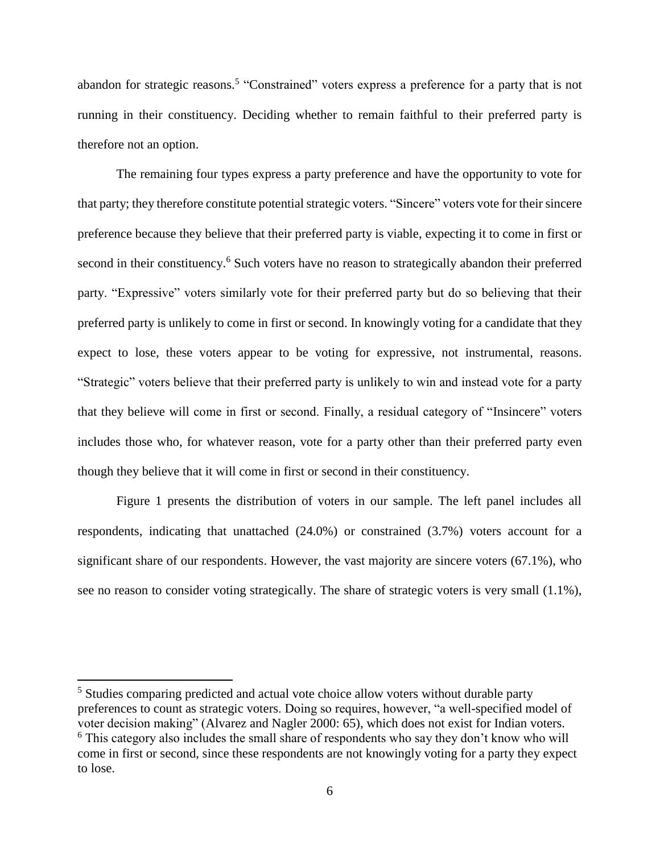abandon for strategic reasons.<sup>5</sup> "Constrained" voters express a preference for a party that is not running in their constituency. Deciding whether to remain faithful to their preferred party is therefore not an option.

The remaining four types express a party preference and have the opportunity to vote for that party; they therefore constitute potential strategic voters. "Sincere" voters vote for their sincere preference because they believe that their preferred party is viable, expecting it to come in first or second in their constituency.<sup>6</sup> Such voters have no reason to strategically abandon their preferred party. "Expressive" voters similarly vote for their preferred party but do so believing that their preferred party is unlikely to come in first or second. In knowingly voting for a candidate that they expect to lose, these voters appear to be voting for expressive, not instrumental, reasons. "Strategic" voters believe that their preferred party is unlikely to win and instead vote for a party that they believe will come in first or second. Finally, a residual category of "Insincere" voters includes those who, for whatever reason, vote for a party other than their preferred party even though they believe that it will come in first or second in their constituency.

Figure 1 presents the distribution of voters in our sample. The left panel includes all respondents, indicating that unattached (24.0%) or constrained (3.7%) voters account for a significant share of our respondents. However, the vast majority are sincere voters (67.1%), who see no reason to consider voting strategically. The share of strategic voters is very small (1.1%),

<sup>&</sup>lt;sup>5</sup> Studies comparing predicted and actual vote choice allow voters without durable party preferences to count as strategic voters. Doing so requires, however, "a well-specified model of voter decision making" (Alvarez and Nagler 2000: 65), which does not exist for Indian voters.  $6$  This category also includes the small share of respondents who say they don't know who will come in first or second, since these respondents are not knowingly voting for a party they expect to lose.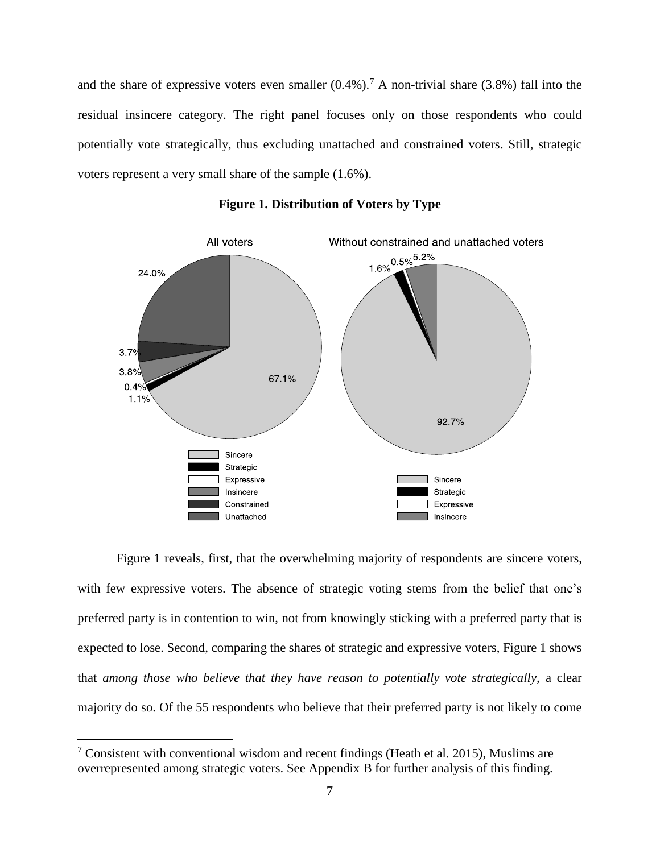and the share of expressive voters even smaller  $(0.4\%)$ .<sup>7</sup> A non-trivial share  $(3.8\%)$  fall into the residual insincere category. The right panel focuses only on those respondents who could potentially vote strategically, thus excluding unattached and constrained voters. Still, strategic voters represent a very small share of the sample (1.6%).



**Figure 1. Distribution of Voters by Type**

Figure 1 reveals, first, that the overwhelming majority of respondents are sincere voters, with few expressive voters. The absence of strategic voting stems from the belief that one's preferred party is in contention to win, not from knowingly sticking with a preferred party that is expected to lose. Second, comparing the shares of strategic and expressive voters, Figure 1 shows that *among those who believe that they have reason to potentially vote strategically,* a clear majority do so. Of the 55 respondents who believe that their preferred party is not likely to come

<sup>&</sup>lt;sup>7</sup> Consistent with conventional wisdom and recent findings (Heath et al. 2015), Muslims are overrepresented among strategic voters. See Appendix B for further analysis of this finding.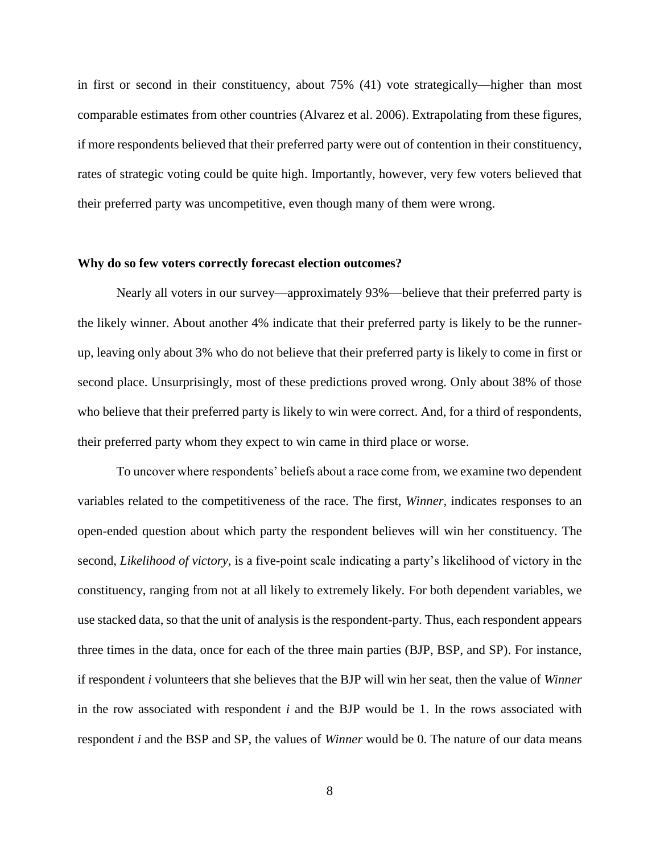in first or second in their constituency, about 75% (41) vote strategically—higher than most comparable estimates from other countries (Alvarez et al. 2006). Extrapolating from these figures, if more respondents believed that their preferred party were out of contention in their constituency, rates of strategic voting could be quite high. Importantly, however, very few voters believed that their preferred party was uncompetitive, even though many of them were wrong.

## **Why do so few voters correctly forecast election outcomes?**

Nearly all voters in our survey—approximately 93%—believe that their preferred party is the likely winner. About another 4% indicate that their preferred party is likely to be the runnerup, leaving only about 3% who do not believe that their preferred party is likely to come in first or second place. Unsurprisingly, most of these predictions proved wrong. Only about 38% of those who believe that their preferred party is likely to win were correct. And, for a third of respondents, their preferred party whom they expect to win came in third place or worse.

To uncover where respondents' beliefs about a race come from, we examine two dependent variables related to the competitiveness of the race. The first, *Winner,* indicates responses to an open-ended question about which party the respondent believes will win her constituency. The second, *Likelihood of victory,* is a five-point scale indicating a party's likelihood of victory in the constituency, ranging from not at all likely to extremely likely. For both dependent variables, we use stacked data, so that the unit of analysis is the respondent-party. Thus, each respondent appears three times in the data, once for each of the three main parties (BJP, BSP, and SP). For instance, if respondent *i* volunteers that she believes that the BJP will win her seat, then the value of *Winner*  in the row associated with respondent *i* and the BJP would be 1. In the rows associated with respondent *i* and the BSP and SP, the values of *Winner* would be 0. The nature of our data means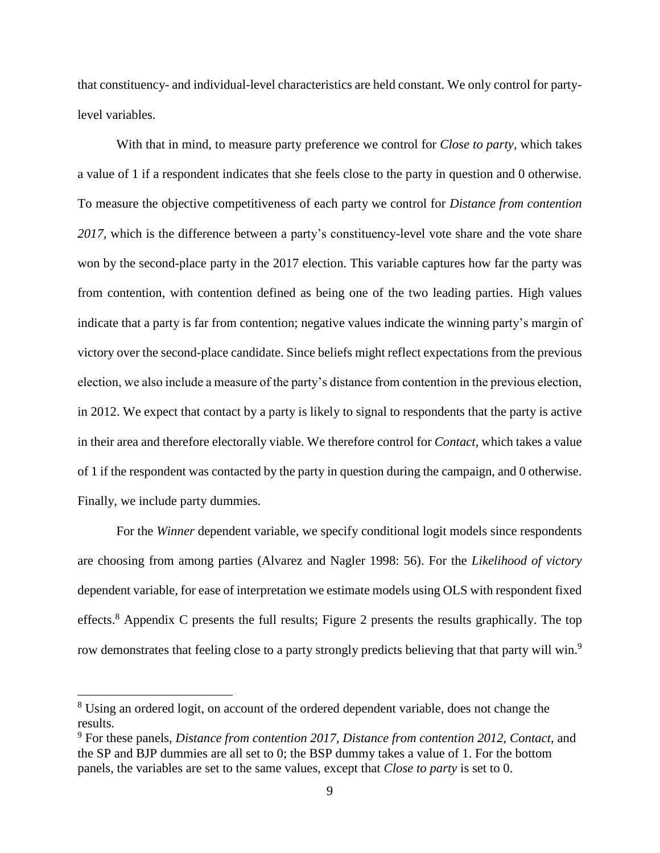that constituency- and individual-level characteristics are held constant. We only control for partylevel variables.

With that in mind, to measure party preference we control for *Close to party,* which takes a value of 1 if a respondent indicates that she feels close to the party in question and 0 otherwise. To measure the objective competitiveness of each party we control for *Distance from contention 2017,* which is the difference between a party's constituency-level vote share and the vote share won by the second-place party in the 2017 election. This variable captures how far the party was from contention, with contention defined as being one of the two leading parties. High values indicate that a party is far from contention; negative values indicate the winning party's margin of victory over the second-place candidate. Since beliefs might reflect expectations from the previous election, we also include a measure of the party's distance from contention in the previous election, in 2012. We expect that contact by a party is likely to signal to respondents that the party is active in their area and therefore electorally viable. We therefore control for *Contact,* which takes a value of 1 if the respondent was contacted by the party in question during the campaign, and 0 otherwise. Finally, we include party dummies.

For the *Winner* dependent variable, we specify conditional logit models since respondents are choosing from among parties (Alvarez and Nagler 1998: 56). For the *Likelihood of victory*  dependent variable, for ease of interpretation we estimate models using OLS with respondent fixed effects.<sup>8</sup> Appendix C presents the full results; Figure 2 presents the results graphically. The top row demonstrates that feeling close to a party strongly predicts believing that that party will win.<sup>9</sup>

<sup>&</sup>lt;sup>8</sup> Using an ordered logit, on account of the ordered dependent variable, does not change the results.

<sup>9</sup> For these panels, *Distance from contention 2017, Distance from contention 2012, Contact,* and the SP and BJP dummies are all set to 0; the BSP dummy takes a value of 1. For the bottom panels, the variables are set to the same values, except that *Close to party* is set to 0.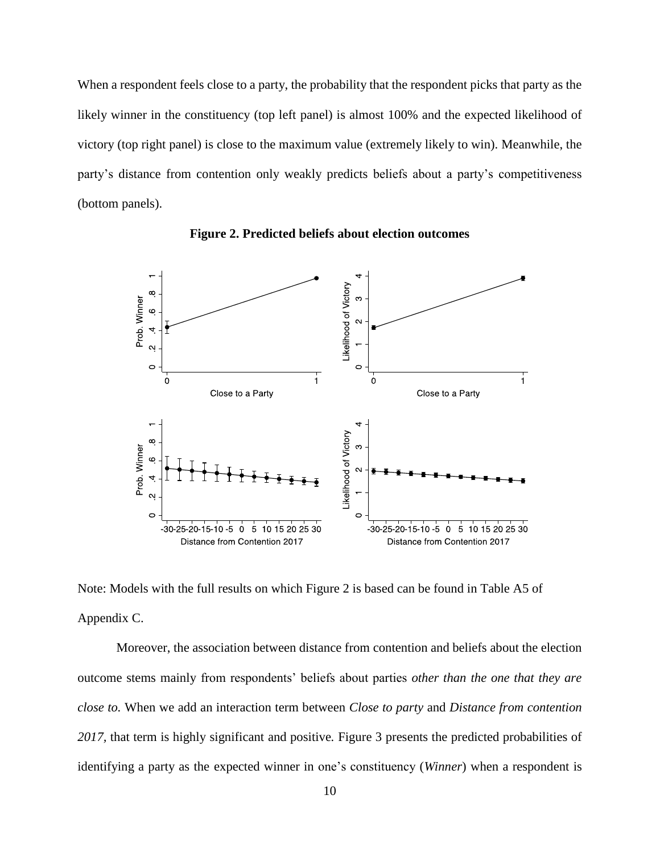When a respondent feels close to a party, the probability that the respondent picks that party as the likely winner in the constituency (top left panel) is almost 100% and the expected likelihood of victory (top right panel) is close to the maximum value (extremely likely to win). Meanwhile, the party's distance from contention only weakly predicts beliefs about a party's competitiveness (bottom panels).



**Figure 2. Predicted beliefs about election outcomes**

Note: Models with the full results on which Figure 2 is based can be found in Table A5 of Appendix C.

Moreover, the association between distance from contention and beliefs about the election outcome stems mainly from respondents' beliefs about parties *other than the one that they are close to.* When we add an interaction term between *Close to party* and *Distance from contention 2017,* that term is highly significant and positive*.* Figure 3 presents the predicted probabilities of identifying a party as the expected winner in one's constituency (*Winner*) when a respondent is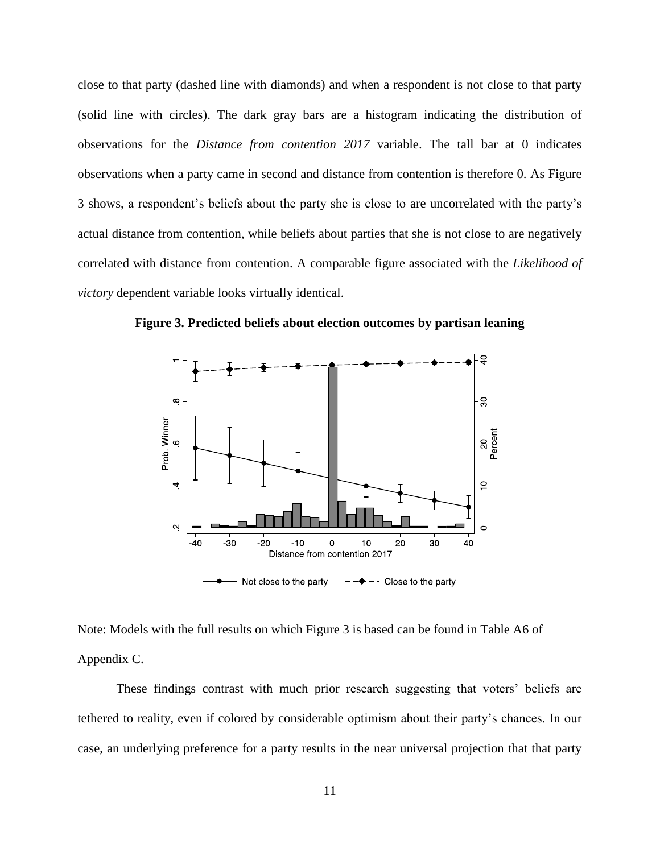close to that party (dashed line with diamonds) and when a respondent is not close to that party (solid line with circles). The dark gray bars are a histogram indicating the distribution of observations for the *Distance from contention 2017* variable. The tall bar at 0 indicates observations when a party came in second and distance from contention is therefore 0. As Figure 3 shows, a respondent's beliefs about the party she is close to are uncorrelated with the party's actual distance from contention, while beliefs about parties that she is not close to are negatively correlated with distance from contention. A comparable figure associated with the *Likelihood of victory* dependent variable looks virtually identical.



**Figure 3. Predicted beliefs about election outcomes by partisan leaning**

Note: Models with the full results on which Figure 3 is based can be found in Table A6 of Appendix C.

These findings contrast with much prior research suggesting that voters' beliefs are tethered to reality, even if colored by considerable optimism about their party's chances. In our case, an underlying preference for a party results in the near universal projection that that party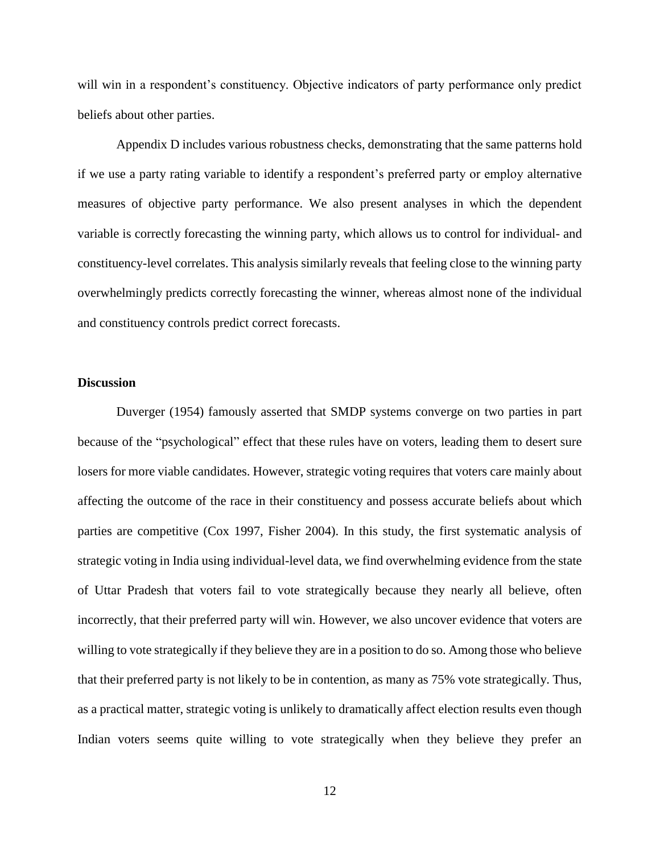will win in a respondent's constituency. Objective indicators of party performance only predict beliefs about other parties.

Appendix D includes various robustness checks, demonstrating that the same patterns hold if we use a party rating variable to identify a respondent's preferred party or employ alternative measures of objective party performance. We also present analyses in which the dependent variable is correctly forecasting the winning party, which allows us to control for individual- and constituency-level correlates. This analysis similarly reveals that feeling close to the winning party overwhelmingly predicts correctly forecasting the winner, whereas almost none of the individual and constituency controls predict correct forecasts.

## **Discussion**

Duverger (1954) famously asserted that SMDP systems converge on two parties in part because of the "psychological" effect that these rules have on voters, leading them to desert sure losers for more viable candidates. However, strategic voting requires that voters care mainly about affecting the outcome of the race in their constituency and possess accurate beliefs about which parties are competitive (Cox 1997, Fisher 2004). In this study, the first systematic analysis of strategic voting in India using individual-level data, we find overwhelming evidence from the state of Uttar Pradesh that voters fail to vote strategically because they nearly all believe, often incorrectly, that their preferred party will win. However, we also uncover evidence that voters are willing to vote strategically if they believe they are in a position to do so. Among those who believe that their preferred party is not likely to be in contention, as many as 75% vote strategically. Thus, as a practical matter, strategic voting is unlikely to dramatically affect election results even though Indian voters seems quite willing to vote strategically when they believe they prefer an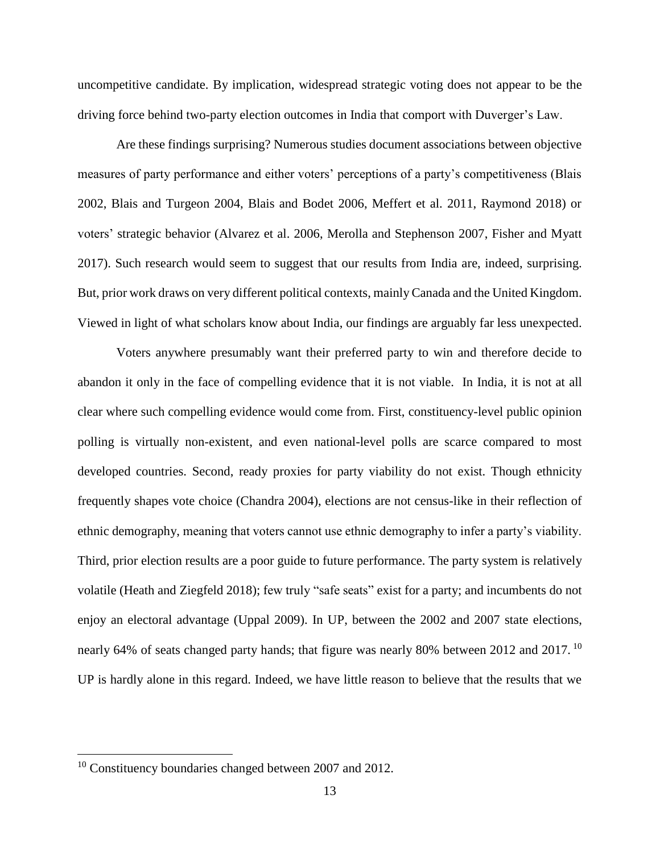uncompetitive candidate. By implication, widespread strategic voting does not appear to be the driving force behind two-party election outcomes in India that comport with Duverger's Law.

Are these findings surprising? Numerous studies document associations between objective measures of party performance and either voters' perceptions of a party's competitiveness (Blais 2002, Blais and Turgeon 2004, Blais and Bodet 2006, Meffert et al. 2011, Raymond 2018) or voters' strategic behavior (Alvarez et al. 2006, Merolla and Stephenson 2007, Fisher and Myatt 2017). Such research would seem to suggest that our results from India are, indeed, surprising. But, prior work draws on very different political contexts, mainly Canada and the United Kingdom. Viewed in light of what scholars know about India, our findings are arguably far less unexpected.

Voters anywhere presumably want their preferred party to win and therefore decide to abandon it only in the face of compelling evidence that it is not viable. In India, it is not at all clear where such compelling evidence would come from. First, constituency-level public opinion polling is virtually non-existent, and even national-level polls are scarce compared to most developed countries. Second, ready proxies for party viability do not exist. Though ethnicity frequently shapes vote choice (Chandra 2004), elections are not census-like in their reflection of ethnic demography, meaning that voters cannot use ethnic demography to infer a party's viability. Third, prior election results are a poor guide to future performance. The party system is relatively volatile (Heath and Ziegfeld 2018); few truly "safe seats" exist for a party; and incumbents do not enjoy an electoral advantage (Uppal 2009). In UP, between the 2002 and 2007 state elections, nearly 64% of seats changed party hands; that figure was nearly 80% between 2012 and 2017.<sup>10</sup> UP is hardly alone in this regard. Indeed, we have little reason to believe that the results that we

<sup>&</sup>lt;sup>10</sup> Constituency boundaries changed between 2007 and 2012.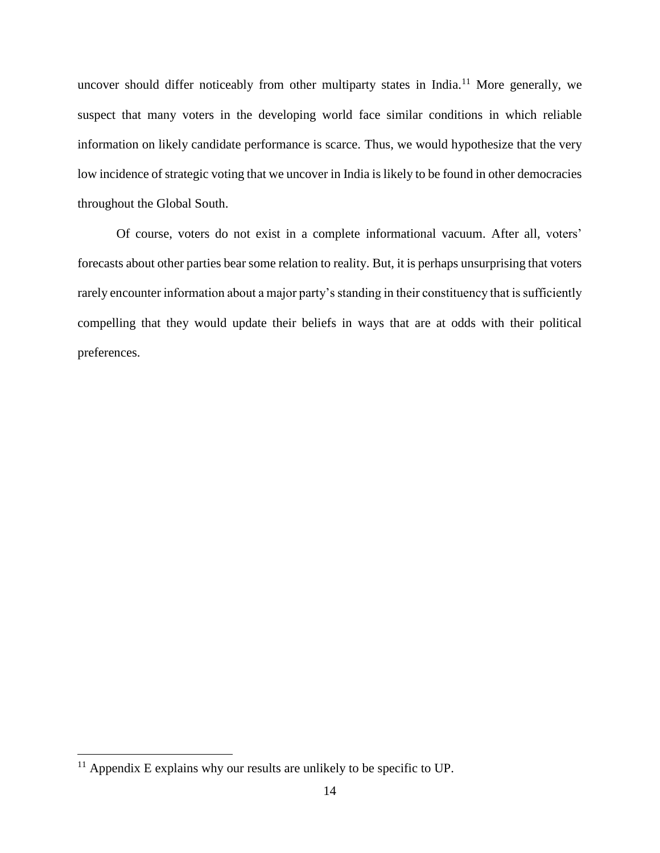uncover should differ noticeably from other multiparty states in India.<sup>11</sup> More generally, we suspect that many voters in the developing world face similar conditions in which reliable information on likely candidate performance is scarce. Thus, we would hypothesize that the very low incidence of strategic voting that we uncover in India is likely to be found in other democracies throughout the Global South.

Of course, voters do not exist in a complete informational vacuum. After all, voters' forecasts about other parties bear some relation to reality. But, it is perhaps unsurprising that voters rarely encounter information about a major party's standing in their constituency that is sufficiently compelling that they would update their beliefs in ways that are at odds with their political preferences.

 $11$  Appendix E explains why our results are unlikely to be specific to UP.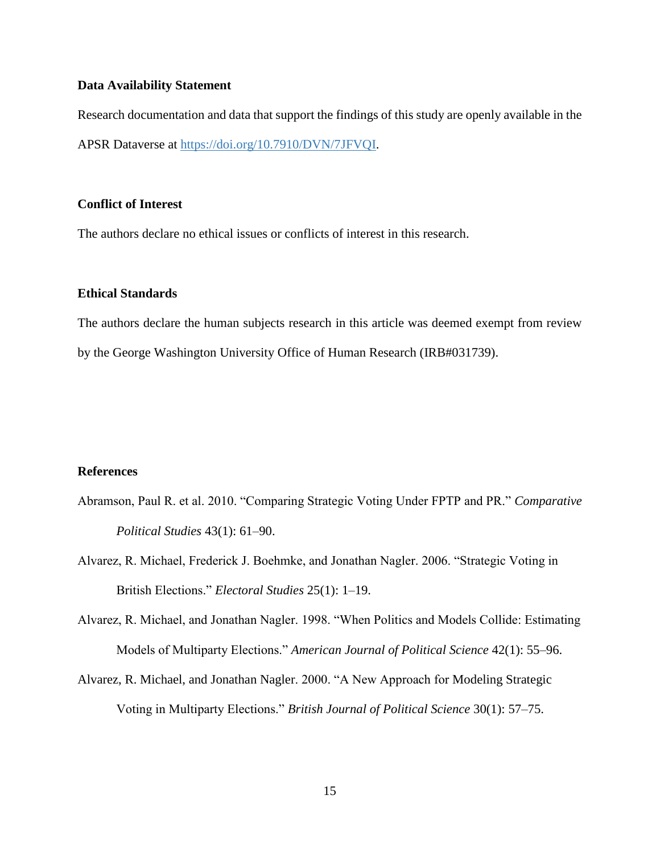# **Data Availability Statement**

Research documentation and data that support the findings of this study are openly available in the APSR Dataverse at [https://doi.org/10.7910/DVN/7JFVQI.](https://doi.org/10.7910/DVN/7JFVQI)

# **Conflict of Interest**

The authors declare no ethical issues or conflicts of interest in this research.

# **Ethical Standards**

The authors declare the human subjects research in this article was deemed exempt from review by the George Washington University Office of Human Research (IRB#031739).

# **References**

- Abramson, Paul R. et al. 2010. "Comparing Strategic Voting Under FPTP and PR." *Comparative Political Studies* 43(1): 61–90.
- Alvarez, R. Michael, Frederick J. Boehmke, and Jonathan Nagler. 2006. "Strategic Voting in British Elections." *Electoral Studies* 25(1): 1–19.
- Alvarez, R. Michael, and Jonathan Nagler. 1998. "When Politics and Models Collide: Estimating Models of Multiparty Elections." *American Journal of Political Science* 42(1): 55–96.
- Alvarez, R. Michael, and Jonathan Nagler. 2000. "A New Approach for Modeling Strategic Voting in Multiparty Elections." *British Journal of Political Science* 30(1): 57–75.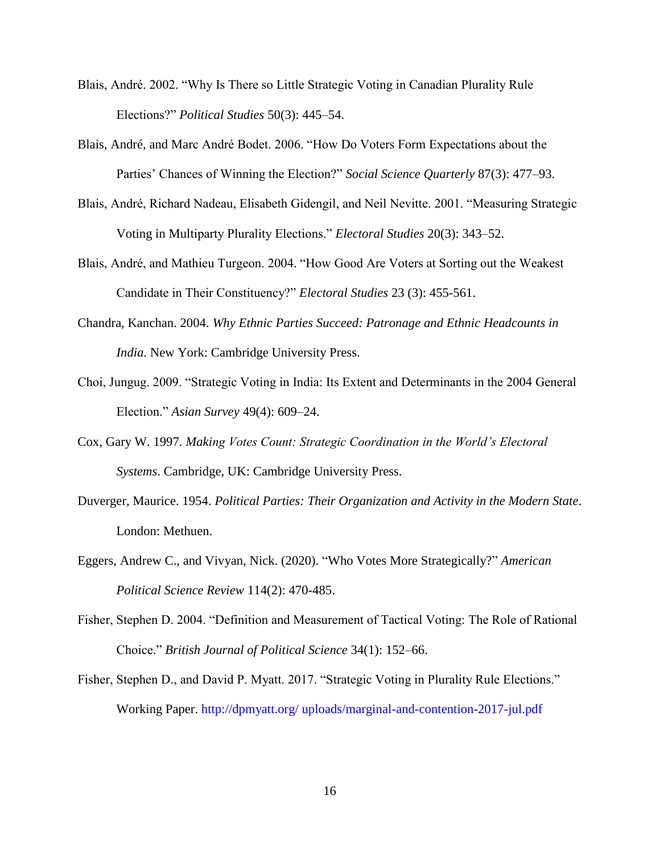- Blais, André. 2002. "Why Is There so Little Strategic Voting in Canadian Plurality Rule Elections?" *Political Studies* 50(3): 445–54.
- Blais, André, and Marc André Bodet. 2006. "How Do Voters Form Expectations about the Parties' Chances of Winning the Election?" *Social Science Quarterly* 87(3): 477–93.
- Blais, André, Richard Nadeau, Elisabeth Gidengil, and Neil Nevitte. 2001. "Measuring Strategic Voting in Multiparty Plurality Elections." *Electoral Studies* 20(3): 343–52.
- Blais, André, and Mathieu Turgeon. 2004. "How Good Are Voters at Sorting out the Weakest Candidate in Their Constituency?" *Electoral Studies* 23 (3): 455-561.
- Chandra, Kanchan. 2004. *Why Ethnic Parties Succeed: Patronage and Ethnic Headcounts in India*. New York: Cambridge University Press.
- Choi, Jungug. 2009. "Strategic Voting in India: Its Extent and Determinants in the 2004 General Election." *Asian Survey* 49(4): 609–24.
- Cox, Gary W. 1997. *Making Votes Count: Strategic Coordination in the World's Electoral Systems*. Cambridge, UK: Cambridge University Press.
- Duverger, Maurice. 1954. *Political Parties: Their Organization and Activity in the Modern State*. London: Methuen.
- Eggers, Andrew C., and Vivyan, Nick. (2020). "Who Votes More Strategically?" *American Political Science Review* 114(2): 470-485.
- Fisher, Stephen D. 2004. "Definition and Measurement of Tactical Voting: The Role of Rational Choice." *British Journal of Political Science* 34(1): 152–66.
- Fisher, Stephen D., and David P. Myatt. 2017. "Strategic Voting in Plurality Rule Elections." Working Paper. http://dpmyatt.org/ uploads/marginal-and-contention-2017-jul.pdf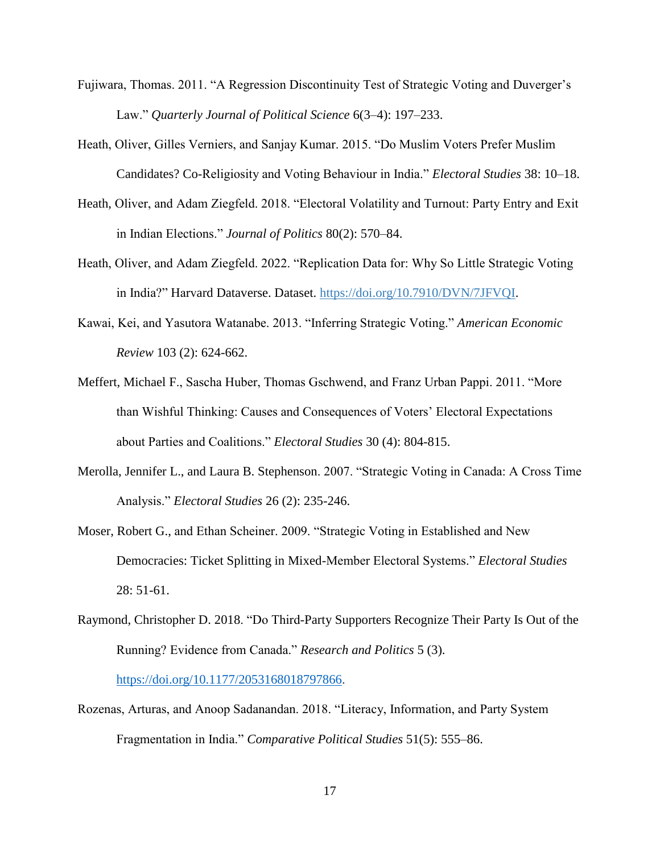- Fujiwara, Thomas. 2011. "A Regression Discontinuity Test of Strategic Voting and Duverger's Law." *Quarterly Journal of Political Science* 6(3–4): 197–233.
- Heath, Oliver, Gilles Verniers, and Sanjay Kumar. 2015. "Do Muslim Voters Prefer Muslim Candidates? Co-Religiosity and Voting Behaviour in India." *Electoral Studies* 38: 10–18.
- Heath, Oliver, and Adam Ziegfeld. 2018. "Electoral Volatility and Turnout: Party Entry and Exit in Indian Elections." *Journal of Politics* 80(2): 570–84.
- Heath, Oliver, and Adam Ziegfeld. 2022. "Replication Data for: Why So Little Strategic Voting in India?" Harvard Dataverse. Dataset. [https://doi.org/10.7910/DVN/7JFVQI.](https://doi.org/10.7910/DVN/7JFVQI)
- Kawai, Kei, and Yasutora Watanabe. 2013. "Inferring Strategic Voting." *American Economic Review* 103 (2): 624-662.
- Meffert, Michael F., Sascha Huber, Thomas Gschwend, and Franz Urban Pappi. 2011. "More than Wishful Thinking: Causes and Consequences of Voters' Electoral Expectations about Parties and Coalitions." *Electoral Studies* 30 (4): 804-815.
- Merolla, Jennifer L., and Laura B. Stephenson. 2007. "Strategic Voting in Canada: A Cross Time Analysis." *Electoral Studies* 26 (2): 235-246.
- Moser, Robert G., and Ethan Scheiner. 2009. "Strategic Voting in Established and New Democracies: Ticket Splitting in Mixed-Member Electoral Systems." *Electoral Studies*  28: 51-61.
- Raymond, Christopher D. 2018. "Do Third-Party Supporters Recognize Their Party Is Out of the Running? Evidence from Canada." *Research and Politics* 5 (3). [https://doi.org/10.1177/2053168018797866.](https://doi.org/10.1177/2053168018797866)
- Rozenas, Arturas, and Anoop Sadanandan. 2018. "Literacy, Information, and Party System Fragmentation in India." *Comparative Political Studies* 51(5): 555–86.